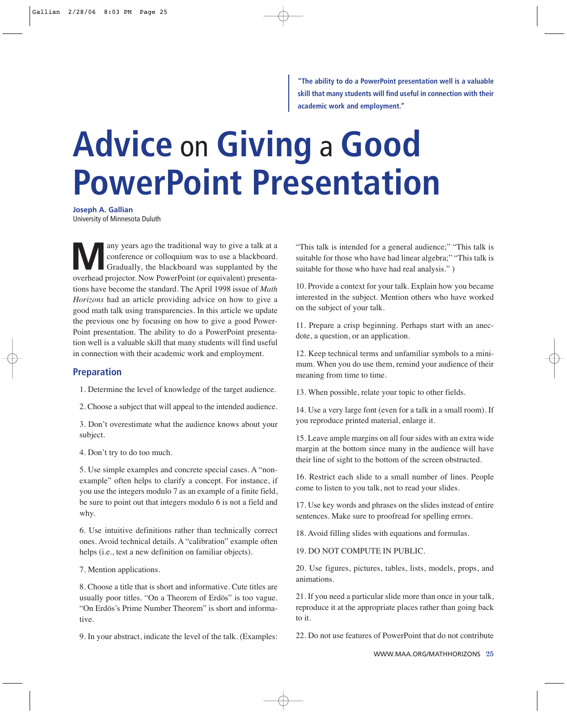**"The ability to do a PowerPoint presentation well is a valuable skill that many students will find useful in connection with their academic work and employment."**

# **Advice** on **Giving** a **Good PowerPoint Presentation**

**Joseph A. Gallian**

University of Minnesota Duluth

**Many** years ago the traditional way to give a talk at a conference or colloquium was to use a blackboard.<br>
Gradually, the blackboard was supplanted by the exerting projector Now PowerPoint (or equivalent) presents conference or colloquium was to use a blackboard. overhead projector. Now PowerPoint (or equivalent) presentations have become the standard. The April 1998 issue of *Math Horizons* had an article providing advice on how to give a good math talk using transparencies. In this article we update the previous one by focusing on how to give a good Power-Point presentation. The ability to do a PowerPoint presentation well is a valuable skill that many students will find useful in connection with their academic work and employment.

#### **Preparation**

1. Determine the level of knowledge of the target audience.

2. Choose a subject that will appeal to the intended audience.

3. Don't overestimate what the audience knows about your subject.

4. Don't try to do too much.

5. Use simple examples and concrete special cases. A "nonexample" often helps to clarify a concept. For instance, if you use the integers modulo 7 as an example of a finite field, be sure to point out that integers modulo 6 is not a field and why.

6. Use intuitive definitions rather than technically correct ones. Avoid technical details. A "calibration" example often helps (i.e., test a new definition on familiar objects).

7. Mention applications.

8. Choose a title that is short and informative. Cute titles are usually poor titles. "On a Theorem of Erdös" is too vague. "On Erdös's Prime Number Theorem" is short and informative.

9. In your abstract, indicate the level of the talk. (Examples:

"This talk is intended for a general audience;" "This talk is suitable for those who have had linear algebra;" "This talk is suitable for those who have had real analysis." )

10. Provide a context for your talk. Explain how you became interested in the subject. Mention others who have worked on the subject of your talk.

11. Prepare a crisp beginning. Perhaps start with an anecdote, a question, or an application.

12. Keep technical terms and unfamiliar symbols to a minimum. When you do use them, remind your audience of their meaning from time to time.

13. When possible, relate your topic to other fields.

14. Use a very large font (even for a talk in a small room). If you reproduce printed material, enlarge it.

15. Leave ample margins on all four sides with an extra wide margin at the bottom since many in the audience will have their line of sight to the bottom of the screen obstructed.

16. Restrict each slide to a small number of lines. People come to listen to you talk, not to read your slides.

17. Use key words and phrases on the slides instead of entire sentences. Make sure to proofread for spelling errors.

18. Avoid filling slides with equations and formulas.

19. DO NOT COMPUTE IN PUBLIC.

20. Use figures, pictures, tables, lists, models, props, and animations.

21. If you need a particular slide more than once in your talk, reproduce it at the appropriate places rather than going back to it.

22. Do not use features of PowerPoint that do not contribute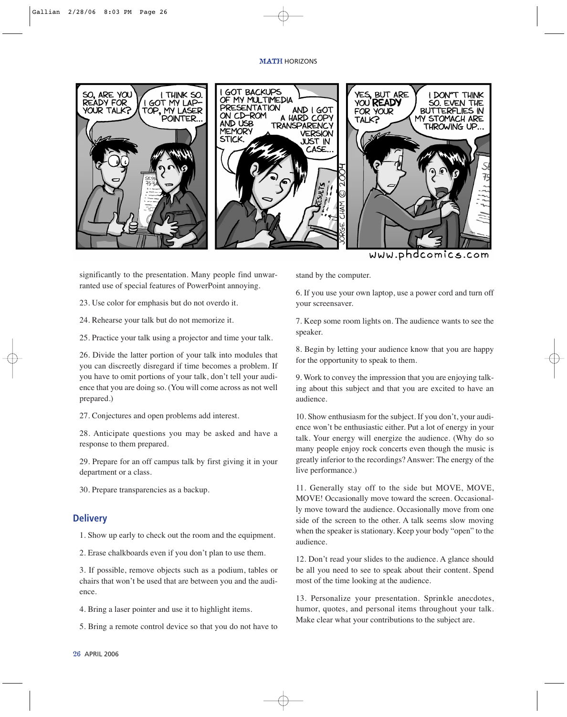#### MATH HORIZONS



www.phdcomics.com

significantly to the presentation. Many people find unwarranted use of special features of PowerPoint annoying.

23. Use color for emphasis but do not overdo it.

24. Rehearse your talk but do not memorize it.

25. Practice your talk using a projector and time your talk.

26. Divide the latter portion of your talk into modules that you can discreetly disregard if time becomes a problem. If you have to omit portions of your talk, don't tell your audience that you are doing so. (You will come across as not well prepared.)

27. Conjectures and open problems add interest.

28. Anticipate questions you may be asked and have a response to them prepared.

29. Prepare for an off campus talk by first giving it in your department or a class.

30. Prepare transparencies as a backup.

### **Delivery**

1. Show up early to check out the room and the equipment.

2. Erase chalkboards even if you don't plan to use them.

3. If possible, remove objects such as a podium, tables or chairs that won't be used that are between you and the audience.

4. Bring a laser pointer and use it to highlight items.

5. Bring a remote control device so that you do not have to

stand by the computer.

6. If you use your own laptop, use a power cord and turn off your screensaver.

7. Keep some room lights on. The audience wants to see the speaker.

8. Begin by letting your audience know that you are happy for the opportunity to speak to them.

9. Work to convey the impression that you are enjoying talking about this subject and that you are excited to have an audience.

10. Show enthusiasm for the subject. If you don't, your audience won't be enthusiastic either. Put a lot of energy in your talk. Your energy will energize the audience. (Why do so many people enjoy rock concerts even though the music is greatly inferior to the recordings? Answer: The energy of the live performance.)

11. Generally stay off to the side but MOVE, MOVE, MOVE! Occasionally move toward the screen. Occasionally move toward the audience. Occasionally move from one side of the screen to the other. A talk seems slow moving when the speaker is stationary. Keep your body "open" to the audience.

12. Don't read your slides to the audience. A glance should be all you need to see to speak about their content. Spend most of the time looking at the audience.

13. Personalize your presentation. Sprinkle anecdotes, humor, quotes, and personal items throughout your talk. Make clear what your contributions to the subject are.